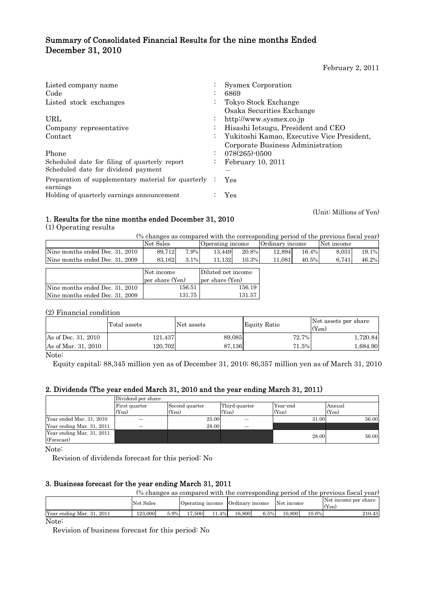# Summary of Consolidated Financial Results for the nine months Ended December 31, 2010

February 2, 2011

| Listed company name                                             |                      | <b>Sysmex Corporation</b>                  |
|-----------------------------------------------------------------|----------------------|--------------------------------------------|
| Code                                                            | $\ddot{\phantom{0}}$ | 6869                                       |
| Listed stock exchanges                                          | $\bullet$            | Tokyo Stock Exchange                       |
|                                                                 |                      | Osaka Securities Exchange                  |
| URL                                                             | $\ddot{\phantom{0}}$ | http://www.sysmex.co.jp                    |
| Company representative                                          | $\ddot{\phantom{0}}$ | Hisashi Ietsugu, President and CEO         |
| Contact                                                         | $\bullet$            | Yukitoshi Kamao, Executive Vice President, |
|                                                                 |                      | Corporate Business Administration          |
| Phone                                                           | ٠<br>$\bullet$       | $078(265)$ -0500                           |
| Scheduled date for filing of quarterly report                   | $\bullet$            | February 10, 2011                          |
| Scheduled date for dividend payment                             |                      |                                            |
| Preparation of supplementary material for quarterly<br>earnings |                      | Yes                                        |
| Holding of quarterly earnings announcement                      |                      | Yes                                        |

(Unit: Millions of Yen)

# 1. Results for the nine months ended December 31, 2010

(1) Operating results

| (% changes as compared with the corresponding period of the previous fiscal year) |           |      |                  |       |                 |          |            |          |
|-----------------------------------------------------------------------------------|-----------|------|------------------|-------|-----------------|----------|------------|----------|
|                                                                                   | Net Sales |      | Operating income |       | Ordinary income |          | Net income |          |
| Nine months ended Dec. 31, 2010                                                   | 89.712    | 7.9% | 13.449           | 20.8% | 12.894          | $16.4\%$ | 8.031      | $19.1\%$ |
| Nine months ended Dec. 31, 2009                                                   | 83.162    | 3.1% | 11.132           | 10.3% | 11.081          | 40.5%    | 6.741      | 46.2%    |
|                                                                                   |           |      |                  |       |                 |          |            |          |

|                                 | Net income      | Diluted net income |  |  |
|---------------------------------|-----------------|--------------------|--|--|
|                                 | per share (Yen) | per share (Yen)    |  |  |
| Nine months ended Dec. 31, 2010 | 156.51          | 156.19             |  |  |
| Nine months ended Dec. 31, 2009 | 131.75          | 13157              |  |  |

(2) Financial condition

|                     | Total assets | Net assets | Equity Ratio | Net assets per share<br>(Yen) |
|---------------------|--------------|------------|--------------|-------------------------------|
| As of Dec. 31, 2010 | 121.437      | 89.085     | 72.7%        | 1.720.84                      |
| As of Mar. 31, 2010 | 120.702      | 87.136     | 71.5%        | 1.684.90                      |

Note:

Equity capital: 88,345 million yen as of December 31, 2010; 86,357 million yen as of March 31, 2010

# 2. Dividends (The year ended March 31, 2010 and the year ending March 31, 2011)

|                                         | Dividend per share |                |               |          |        |
|-----------------------------------------|--------------------|----------------|---------------|----------|--------|
|                                         | First quarter      | Second quarter | Third quarter | Year-end | Annual |
|                                         | (Yen)              | (Yen)          | (Yen)         | (Yen)    | (Yen)  |
| Year ended Mar. 31, 2010                |                    | 25.00          |               | 31.00    | 56.00  |
| Year ending Mar. 31, 2011               |                    | 28.00          |               |          |        |
| Year ending Mar. 31, 2011<br>(Forecast) |                    |                |               | 28.00    | 56.00  |
|                                         |                    |                |               |          |        |

Note:

Revision of dividends forecast for this period: No

## 3. Business forecast for the year ending March 31, 2011

|                           |           |      |        |          |                                             |      |        |          | (% changes as compared with the corresponding period of the previous fiscal year) |
|---------------------------|-----------|------|--------|----------|---------------------------------------------|------|--------|----------|-----------------------------------------------------------------------------------|
|                           | Net Sales |      |        |          | Operating income Ordinary income Net income |      |        |          | Net income per share<br>(Yen)                                                     |
| Year ending Mar. 31, 2011 | 123,000   | 5.9% | 17.500 | $11.4\%$ | 16.800                                      | 6.5% | 10.800 | $10.6\%$ | 210.43                                                                            |
| - - -                     |           |      |        |          |                                             |      |        |          |                                                                                   |

Note:

Revision of business forecast for this period: No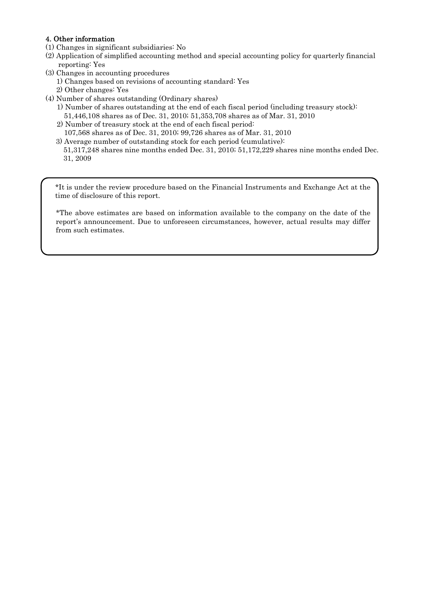## 4. Other information

- (1) Changes in significant subsidiaries: No
- (2) Application of simplified accounting method and special accounting policy for quarterly financial reporting: Yes
- (3) Changes in accounting procedures
	- 1) Changes based on revisions of accounting standard: Yes
	- 2) Other changes: Yes
- (4) Number of shares outstanding (Ordinary shares)
	- 1) Number of shares outstanding at the end of each fiscal period (including treasury stock): 51,446,108 shares as of Dec. 31, 2010; 51,353,708 shares as of Mar. 31, 2010
	- 2) Number of treasury stock at the end of each fiscal period:
	- 107,568 shares as of Dec. 31, 2010; 99,726 shares as of Mar. 31, 2010
	- 3) Average number of outstanding stock for each period (cumulative): 51,317,248 shares nine months ended Dec. 31, 2010; 51,172,229 shares nine months ended Dec. 31, 2009

\*It is under the review procedure based on the Financial Instruments and Exchange Act at the time of disclosure of this report.

\*The above estimates are based on information available to the company on the date of the report's announcement. Due to unforeseen circumstances, however, actual results may differ from such estimates.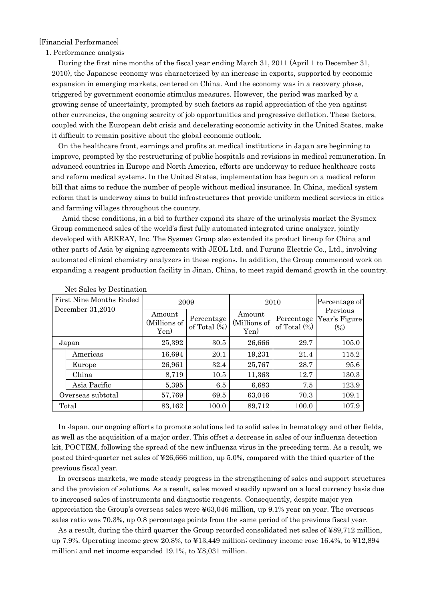## [Financial Performance]

### 1. Performance analysis

During the first nine months of the fiscal year ending March 31, 2011 (April 1 to December 31, 2010), the Japanese economy was characterized by an increase in exports, supported by economic expansion in emerging markets, centered on China. And the economy was in a recovery phase, triggered by government economic stimulus measures. However, the period was marked by a growing sense of uncertainty, prompted by such factors as rapid appreciation of the yen against other currencies, the ongoing scarcity of job opportunities and progressive deflation. These factors, coupled with the European debt crisis and decelerating economic activity in the United States, make it difficult to remain positive about the global economic outlook.

On the healthcare front, earnings and profits at medical institutions in Japan are beginning to improve, prompted by the restructuring of public hospitals and revisions in medical remuneration. In advanced countries in Europe and North America, efforts are underway to reduce healthcare costs and reform medical systems. In the United States, implementation has begun on a medical reform bill that aims to reduce the number of people without medical insurance. In China, medical system reform that is underway aims to build infrastructures that provide uniform medical services in cities and farming villages throughout the country.

 Amid these conditions, in a bid to further expand its share of the urinalysis market the Sysmex Group commenced sales of the world's first fully automated integrated urine analyzer, jointly developed with ARKRAY, Inc. The Sysmex Group also extended its product lineup for China and other parts of Asia by signing agreements with JEOL Ltd. and Furuno Electric Co., Ltd., involving automated clinical chemistry analyzers in these regions. In addition, the Group commenced work on expanding a reagent production facility in Jinan, China, to meet rapid demand growth in the country.

| <b>First Nine Months Ended</b> | 2009                           |                               | 2010                           | Percentage of   |                                               |
|--------------------------------|--------------------------------|-------------------------------|--------------------------------|-----------------|-----------------------------------------------|
| December 31,2010               | Amount<br>(Millions of<br>Yen) | Percentage<br>of Total $(\%)$ | Amount<br>(Millions of<br>Yen) | of Total $(\%)$ | Previous<br>Percentage Year's Figure<br>(9/0) |
| Japan                          | 25,392                         | 30.5                          | 26,666                         | 29.7            | 105.0                                         |
| Americas                       | 16,694                         | 20.1                          | 19,231                         | 21.4            | 115.2                                         |
| Europe                         | 26,961                         | 32.4                          | 25,767                         | 28.7            | 95.6                                          |
| China                          | 8,719                          | 10.5                          | 11,363                         | 12.7            | 130.3                                         |
| Asia Pacific                   | 5,395                          | 6.5                           | 6,683                          | 7.5             | 123.9                                         |
| Overseas subtotal              | 57,769                         | 69.5                          | 63,046                         | 70.3            | 109.1                                         |
| Total                          | 83,162                         | 100.0                         | 89,712                         | 100.0           | 107.9                                         |

Net Sales by Destination

In Japan, our ongoing efforts to promote solutions led to solid sales in hematology and other fields, as well as the acquisition of a major order. This offset a decrease in sales of our influenza detection kit, POCTEM, following the spread of the new influenza virus in the preceding term. As a result, we posted third-quarter net sales of ¥26,666 million, up 5.0%, compared with the third quarter of the previous fiscal year.

In overseas markets, we made steady progress in the strengthening of sales and support structures and the provision of solutions. As a result, sales moved steadily upward on a local currency basis due to increased sales of instruments and diagnostic reagents. Consequently, despite major yen appreciation the Group's overseas sales were ¥63,046 million, up 9.1% year on year. The overseas sales ratio was 70.3%, up 0.8 percentage points from the same period of the previous fiscal year.

As a result, during the third quarter the Group recorded consolidated net sales of ¥89,712 million, up 7.9%. Operating income grew 20.8%, to ¥13,449 million; ordinary income rose 16.4%, to ¥12,894 million; and net income expanded 19.1%, to ¥8,031 million.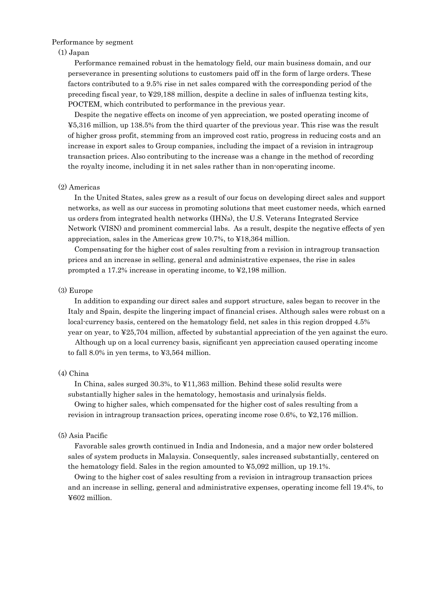## Performance by segment

## (1) Japan

Performance remained robust in the hematology field, our main business domain, and our perseverance in presenting solutions to customers paid off in the form of large orders. These factors contributed to a 9.5% rise in net sales compared with the corresponding period of the preceding fiscal year, to ¥29,188 million, despite a decline in sales of influenza testing kits, POCTEM, which contributed to performance in the previous year.

Despite the negative effects on income of yen appreciation, we posted operating income of ¥5,316 million, up 138.5% from the third quarter of the previous year. This rise was the result of higher gross profit, stemming from an improved cost ratio, progress in reducing costs and an increase in export sales to Group companies, including the impact of a revision in intragroup transaction prices. Also contributing to the increase was a change in the method of recording the royalty income, including it in net sales rather than in non-operating income.

#### (2) Americas

In the United States, sales grew as a result of our focus on developing direct sales and support networks, as well as our success in promoting solutions that meet customer needs, which earned us orders from integrated health networks (IHNs), the U.S. Veterans Integrated Service Network (VISN) and prominent commercial labs. As a result, despite the negative effects of yen appreciation, sales in the Americas grew 10.7%, to ¥18,364 million.

Compensating for the higher cost of sales resulting from a revision in intragroup transaction prices and an increase in selling, general and administrative expenses, the rise in sales prompted a 17.2% increase in operating income, to ¥2,198 million.

#### (3) Europe

In addition to expanding our direct sales and support structure, sales began to recover in the Italy and Spain, despite the lingering impact of financial crises. Although sales were robust on a local-currency basis, centered on the hematology field, net sales in this region dropped 4.5% year on year, to ¥25,704 million, affected by substantial appreciation of the yen against the euro.

 Although up on a local currency basis, significant yen appreciation caused operating income to fall 8.0% in yen terms, to ¥3,564 million.

## (4) China

In China, sales surged 30.3%, to ¥11,363 million. Behind these solid results were substantially higher sales in the hematology, hemostasis and urinalysis fields.

Owing to higher sales, which compensated for the higher cost of sales resulting from a revision in intragroup transaction prices, operating income rose 0.6%, to ¥2,176 million.

### (5) Asia Pacific

Favorable sales growth continued in India and Indonesia, and a major new order bolstered sales of system products in Malaysia. Consequently, sales increased substantially, centered on the hematology field. Sales in the region amounted to  $\text{\textless}5,092$  million, up 19.1%.

Owing to the higher cost of sales resulting from a revision in intragroup transaction prices and an increase in selling, general and administrative expenses, operating income fell 19.4%, to ¥602 million.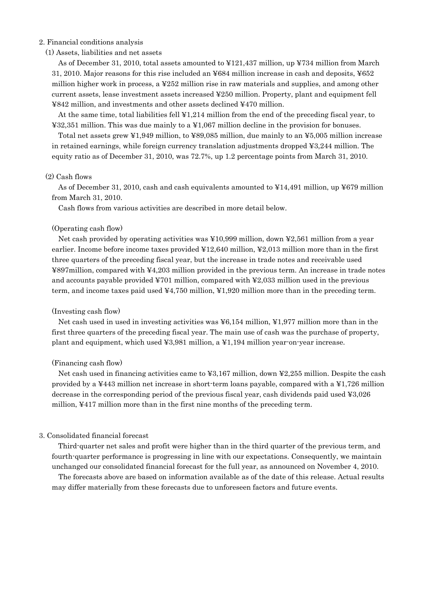## 2. Financial conditions analysis

## (1) Assets, liabilities and net assets

As of December 31, 2010, total assets amounted to ¥121,437 million, up ¥734 million from March 31, 2010. Major reasons for this rise included an ¥684 million increase in cash and deposits, ¥652 million higher work in process, a ¥252 million rise in raw materials and supplies, and among other current assets, lease investment assets increased ¥250 million. Property, plant and equipment fell ¥842 million, and investments and other assets declined ¥470 million.

At the same time, total liabilities fell ¥1,214 million from the end of the preceding fiscal year, to ¥32,351 million. This was due mainly to a ¥1,067 million decline in the provision for bonuses.

Total net assets grew ¥1,949 million, to ¥89,085 million, due mainly to an ¥5,005 million increase in retained earnings, while foreign currency translation adjustments dropped ¥3,244 million. The equity ratio as of December 31, 2010, was 72.7%, up 1.2 percentage points from March 31, 2010.

### (2) Cash flows

As of December 31, 2010, cash and cash equivalents amounted to ¥14,491 million, up ¥679 million from March 31, 2010.

Cash flows from various activities are described in more detail below.

#### (Operating cash flow)

Net cash provided by operating activities was ¥10,999 million, down ¥2,561 million from a year earlier. Income before income taxes provided ¥12,640 million, ¥2,013 million more than in the first three quarters of the preceding fiscal year, but the increase in trade notes and receivable used ¥897million, compared with ¥4,203 million provided in the previous term. An increase in trade notes and accounts payable provided  $\text{\textsterling}701$  million, compared with  $\text{\textsterling}2,033$  million used in the previous term, and income taxes paid used ¥4,750 million, ¥1,920 million more than in the preceding term.

#### (Investing cash flow)

Net cash used in used in investing activities was ¥6,154 million, ¥1,977 million more than in the first three quarters of the preceding fiscal year. The main use of cash was the purchase of property, plant and equipment, which used ¥3,981 million, a ¥1,194 million year-on-year increase.

## (Financing cash flow)

Net cash used in financing activities came to ¥3,167 million, down ¥2,255 million. Despite the cash provided by a ¥443 million net increase in short-term loans payable, compared with a ¥1,726 million decrease in the corresponding period of the previous fiscal year, cash dividends paid used ¥3,026 million, ¥417 million more than in the first nine months of the preceding term.

### 3. Consolidated financial forecast

Third-quarter net sales and profit were higher than in the third quarter of the previous term, and fourth-quarter performance is progressing in line with our expectations. Consequently, we maintain unchanged our consolidated financial forecast for the full year, as announced on November 4, 2010.

The forecasts above are based on information available as of the date of this release. Actual results may differ materially from these forecasts due to unforeseen factors and future events.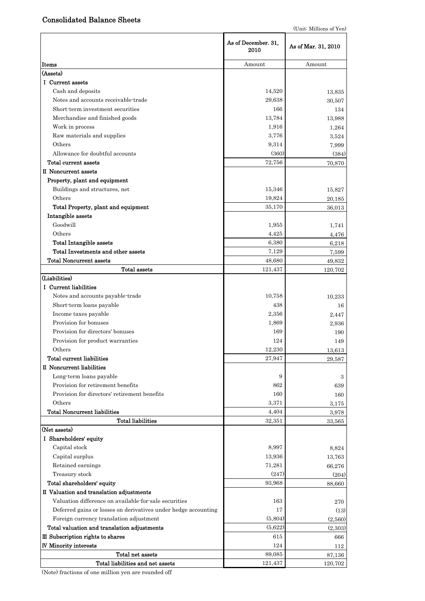# Consolidated Balance Sheets

|                                                                | As of December. 31,<br>2010 | As of Mar. 31, 2010 |
|----------------------------------------------------------------|-----------------------------|---------------------|
| <b>Items</b>                                                   | Amount                      | Amount              |
| (Assets)                                                       |                             |                     |
| I Current assets                                               |                             |                     |
| Cash and deposits                                              | 14,520                      | 13,835              |
| Notes and accounts receivable-trade                            | 29,638                      | 30,507              |
| Short term investment securities                               | 166                         | 134                 |
| Merchandise and finished goods                                 | 13,784                      | 13,988              |
| Work in process                                                | 1,916                       | 1,264               |
| Raw materials and supplies                                     | 3,776                       | 3,524               |
| Others                                                         | 9,314                       | 7,999               |
| Allowance for doubtful accounts                                | (360)                       | (384)               |
| Total current assets                                           | 72,756                      | 70,870              |
| II Noncurrent assets                                           |                             |                     |
| Property, plant and equipment                                  |                             |                     |
| Buildings and structures, net                                  | 15,346                      | 15,827              |
| Others                                                         | 19,824                      | 20,185              |
| Total Property, plant and equipment                            | 35,170                      | 36.013              |
| Intangible assets                                              |                             |                     |
| Goodwill                                                       | 1,955                       | 1,741               |
| Others                                                         | 4,425                       | 4,476               |
| <b>Total Intangible assets</b>                                 | 6,380                       | 6,218               |
| Total Investments and other assets                             | 7,129                       | 7,599               |
| <b>Total Noncurrent assets</b>                                 | 48,680                      | 49,832              |
| Total assets                                                   | 121,437                     | 120,702             |
| (Liabilities)                                                  |                             |                     |
| I Current liabilities                                          |                             |                     |
| Notes and accounts payable-trade                               | 10,758                      | 10,233              |
| Short-term loans payable                                       | 438                         | 16                  |
| Income taxes payable                                           | 2,356                       | 2,447               |
| Provision for bonuses                                          | 1,869                       | 2,936               |
| Provision for directors' bonuses                               | 169                         | 190                 |
| Provision for product warranties                               | 124                         | 149                 |
| Others                                                         | 12,230                      | 13.613              |
| Total current liabilities                                      | 27,947                      | 29,587              |
| II Noncurrent liabilities                                      |                             |                     |
| Long-term loans payable                                        | 9                           | 3                   |
| Provision for retirement benefits                              | 862                         | 639                 |
| Provision for directors' retirement benefits                   | 160                         | 160                 |
| Others                                                         | 3,371                       | 3,175               |
| <b>Total Noncurrent liabilities</b>                            | 4,404                       | 3,978               |
| <b>Total liabilities</b>                                       | 32,351                      | 33,565              |
| (Net assets)                                                   |                             |                     |
| I Shareholders' equity                                         |                             |                     |
| Capital stock                                                  | 8,997                       | 8,824               |
| Capital surplus                                                | 13,936                      | 13,763              |
| Retained earnings                                              | 71,281                      | 66,276              |
| Treasury stock                                                 | (247)                       | (204)               |
| Total shareholders' equity                                     | 93,968                      | 88,660              |
| II Valuation and translation adjustments                       |                             |                     |
| Valuation difference on available for sale securities          | 163                         | 270                 |
| Deferred gains or losses on derivatives under hedge accounting | 17                          | (13)                |
| Foreign currency translation adjustment                        | (5,804)                     | (2,560)             |
| Total valuation and translation adjustments                    | (5,622)                     | (2,303)             |
| III Subscription rights to shares                              | 615                         | 666                 |
| <b>IV Minority interests</b>                                   | 124                         | 112                 |
| Total net assets                                               | 89,085                      | 87,136              |
| Total liabilities and net assets                               | 121,437                     | 120,702             |

(Note) fractions of one million yen are rounded off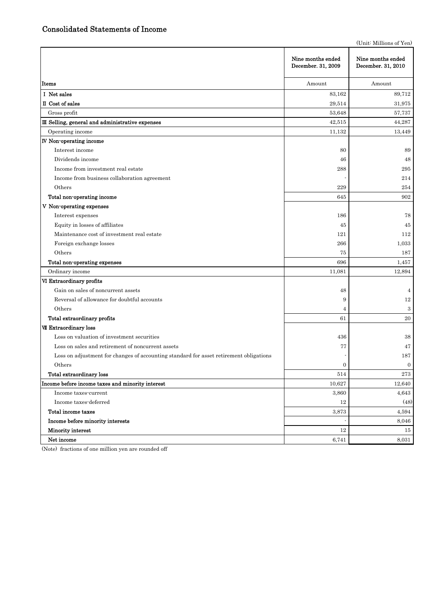(Unit: Millions of Yen)

|                                                                                        | Nine months ended<br>December. 31, 2009 | Nine months ended<br>December. 31, 2010 |
|----------------------------------------------------------------------------------------|-----------------------------------------|-----------------------------------------|
| Items                                                                                  | Amount                                  | Amount                                  |
| I Net sales                                                                            | 83,162                                  | 89,712                                  |
| II Cost of sales                                                                       | 29,514                                  | 31,975                                  |
| Gross profit                                                                           | 53,648                                  | 57,737                                  |
| III Selling, general and administrative expenses                                       | 42,515                                  | 44,287                                  |
| Operating income                                                                       | 11,132                                  | 13,449                                  |
| <b>IV</b> Non-operating income                                                         |                                         |                                         |
| Interest income                                                                        | 80                                      | 89                                      |
| Dividends income                                                                       | 46                                      | 48                                      |
| Income from investment real estate                                                     | 288                                     | 295                                     |
| Income from business collaboration agreement                                           |                                         | 214                                     |
| Others                                                                                 | 229                                     | 254                                     |
| Total non-operating income                                                             | 645                                     | 902                                     |
| V Non-operating expenses                                                               |                                         |                                         |
| Interest expenses                                                                      | 186                                     | 78                                      |
| Equity in losses of affiliates                                                         | 45                                      | 45                                      |
| Maintenance cost of investment real estate                                             | 121                                     | 112                                     |
| Foreign exchange losses                                                                | 266                                     | 1,033                                   |
| Others                                                                                 | 75                                      | 187                                     |
| Total non-operating expenses                                                           | 696                                     | 1,457                                   |
| Ordinary income                                                                        | 11,081                                  | 12,894                                  |
| VI Extraordinary profits                                                               |                                         |                                         |
| Gain on sales of noncurrent assets                                                     | 48                                      | 4                                       |
| Reversal of allowance for doubtful accounts                                            | 9                                       | 12                                      |
| Others                                                                                 | 4                                       | 3                                       |
| Total extraordinary profits                                                            | 61                                      | 20                                      |
| VII Extraordinary loss                                                                 |                                         |                                         |
| Loss on valuation of investment securities                                             | 436                                     | 38                                      |
| Loss on sales and retirement of noncurrent assets                                      | 77                                      | 47                                      |
| Loss on adjustment for changes of accounting standard for asset retirement obligations |                                         | 187                                     |
| Others                                                                                 | $\Omega$                                | $\overline{0}$                          |
| Total extraordinary loss                                                               | 514                                     | $2\,73$                                 |
| Income before income taxes and minority interest                                       | 10,627                                  | 12,640                                  |
| Income taxes-current                                                                   | 3,860                                   | 4,643                                   |
| Income taxes-deferred                                                                  | 12                                      | (48)                                    |
| Total income taxes                                                                     | 3,873                                   | 4,594                                   |
| Income before minority interests                                                       |                                         | 8,046                                   |
| Minority interest                                                                      | $12\,$                                  | 15                                      |
| Net income                                                                             | 6,741                                   | 8,031                                   |

(Note) fractions of one million yen are rounded off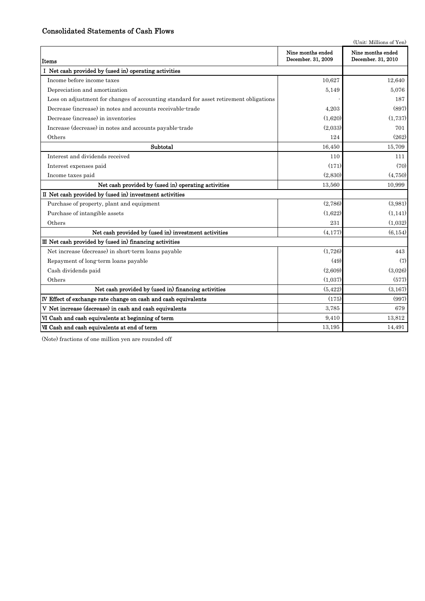# Consolidated Statements of Cash Flows

|                                                                                        |                                         | (Unit: Millions of Yen)                 |
|----------------------------------------------------------------------------------------|-----------------------------------------|-----------------------------------------|
| Items                                                                                  | Nine months ended<br>December. 31, 2009 | Nine months ended<br>December. 31, 2010 |
| I Net cash provided by (used in) operating activities                                  |                                         |                                         |
| Income before income taxes                                                             | 10.627                                  | 12,640                                  |
| Depreciation and amortization                                                          | 5,149                                   | 5,076                                   |
| Loss on adjustment for changes of accounting standard for asset retirement obligations |                                         | 187                                     |
| Decrease (increase) in notes and accounts receivable-trade                             | 4,203                                   | (897)                                   |
| Decrease (increase) in inventories                                                     | (1,620)                                 | (1,737)                                 |
| Increase (decrease) in notes and accounts payable-trade                                | (2,033)                                 | 701                                     |
| Others                                                                                 | 124                                     | (262)                                   |
| Subtotal                                                                               | 16,450                                  | 15,709                                  |
| Interest and dividends received                                                        | 110                                     | 111                                     |
| Interest expenses paid                                                                 | (171)                                   | (70)                                    |
| Income taxes paid                                                                      | (2,830)                                 | (4,750)                                 |
| Net cash provided by (used in) operating activities                                    | 13,560                                  | 10,999                                  |
| II Net cash provided by (used in) investment activities                                |                                         |                                         |
| Purchase of property, plant and equipment                                              | (2,786)                                 | (3,981)                                 |
| Purchase of intangible assets                                                          | (1,622)                                 | (1, 141)                                |
| Others                                                                                 | 231                                     | (1,032)                                 |
| Net cash provided by (used in) investment activities                                   | (4, 177)                                | (6, 154)                                |
| III Net cash provided by (used in) financing activities                                |                                         |                                         |
| Net increase (decrease) in short-term loans payable                                    | (1,726)                                 | 443                                     |
| Repayment of long-term loans payable                                                   | (49)                                    | (7)                                     |
| Cash dividends paid                                                                    | (2,609)                                 | (3,026)                                 |
| Others                                                                                 | (1,037)                                 | (577)                                   |
| Net cash provided by (used in) financing activities                                    | (5, 422)                                | (3,167)                                 |
| IV Effect of exchange rate change on cash and cash equivalents                         | (175)                                   | (997)                                   |
| V Net increase (decrease) in cash and cash equivalents                                 | 3,785                                   | 679                                     |
| VI Cash and cash equivalents at beginning of term                                      | 9,410                                   | 13,812                                  |
| VII Cash and cash equivalents at end of term                                           | 13,195                                  | 14,491                                  |

(Note) fractions of one million yen are rounded off